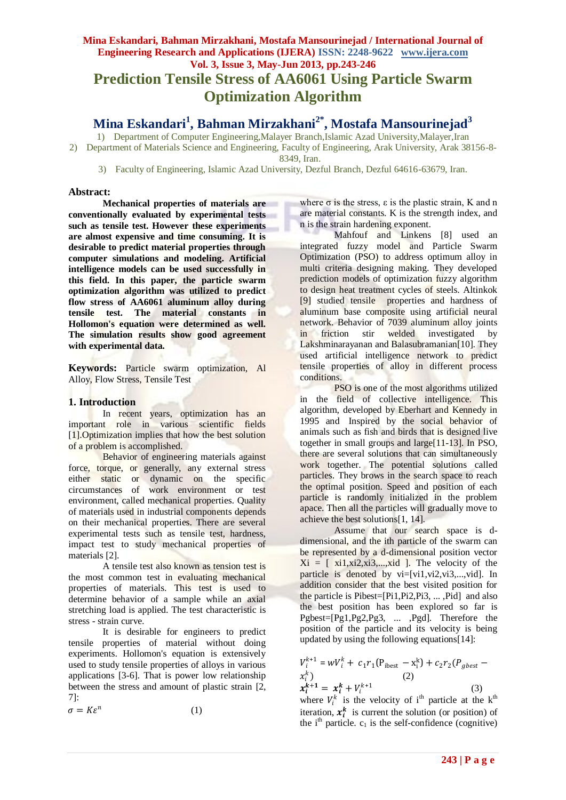# **Mina Eskandari, Bahman Mirzakhani, Mostafa Mansourinejad / International Journal of Engineering Research and Applications (IJERA) ISSN: 2248-9622 www.ijera.com Vol. 3, Issue 3, May-Jun 2013, pp.243-246 Prediction Tensile Stress of AA6061 Using Particle Swarm Optimization Algorithm**

**Mina Eskandari<sup>1</sup> , Bahman Mirzakhani2\*, Mostafa Mansourinejad<sup>3</sup>**

1) Department of Computer Engineering,Malayer Branch,Islamic Azad University,Malayer,Iran 2) Department of Materials Science and Engineering, Faculty of Engineering, Arak University, Arak 38156-8- 8349, Iran.

3) Faculty of Engineering, Islamic Azad University, Dezful Branch, Dezful 64616-63679, Iran.

#### **Abstract:**

**Mechanical properties of materials are conventionally evaluated by experimental tests such as tensile test. However these experiments are almost expensive and time consuming. It is desirable to predict material properties through computer simulations and modeling. Artificial intelligence models can be used successfully in this field. In this paper, the particle swarm optimization algorithm was utilized to predict flow stress of AA6061 aluminum alloy during tensile test. The material constants in Hollomon's equation were determined as well. The simulation results show good agreement with experimental data.** 

**Keywords:** Particle swarm optimization, Al Alloy, Flow Stress, Tensile Test

#### **1. Introduction**

In recent years, optimization has an important role in various scientific fields [1].Optimization implies that how the best solution of a problem is accomplished.

Behavior of engineering materials against force, torque, or generally, any external stress either static or dynamic on the specific circumstances of work environment or test environment, called mechanical properties. Quality of materials used in industrial components depends on their mechanical properties. There are several experimental tests such as tensile test, hardness, impact test to study mechanical properties of materials [2].

A tensile test also known as tension test is the most common test in evaluating mechanical properties of materials. This test is used to determine behavior of a sample while an axial stretching load is applied. The test characteristic is stress - strain curve.

It is desirable for engineers to predict tensile properties of material without doing experiments. Hollomon's equation is extensively used to study tensile properties of alloys in various applications [3-6]. That is power low relationship between the stress and amount of plastic strain [2, 7]:

 $\sigma=K\varepsilon^n$ (1) where  $\sigma$  is the stress,  $\varepsilon$  is the plastic strain, K and n are material constants. K is the strength index, and n is the strain hardening exponent.

Mahfouf and Linkens [8] used an integrated fuzzy model and Particle Swarm Optimization (PSO) to address optimum alloy in multi criteria designing making. They developed prediction models of optimization fuzzy algorithm to design heat treatment cycles of steels. Altinkok [9] studied tensile properties and hardness of aluminum base composite using artificial neural network. Behavior of 7039 aluminum alloy joints in friction stir welded investigated by Lakshminarayanan and Balasubramanian[10]. They used artificial intelligence network to predict tensile properties of alloy in different process conditions.

PSO is one of the most algorithms utilized in the field of collective intelligence. This algorithm, developed by Eberhart and Kennedy in 1995 and Inspired by the social behavior of animals such as fish and birds that is designed live together in small groups and large[11-13]. In PSO, there are several solutions that can simultaneously work together. The potential solutions called particles. They brows in the search space to reach the optimal position. Speed and position of each particle is randomly initialized in the problem apace. Then all the particles will gradually move to achieve the best solutions[1, 14].

Assume that our search space is ddimensional, and the ith particle of the swarm can be represented by a d-dimensional position vector  $Xi = [x_i1, xi2, xi3, ..., x_i].$  The velocity of the particle is denoted by vi=[vi1,vi2,vi3,...,vid]. In addition consider that the best visited position for the particle is Pibest=[Pi1,Pi2,Pi3, ... ,Pid] and also the best position has been explored so far is Pgbest=[Pg1,Pg2,Pg3, ... ,Pgd]. Therefore the position of the particle and its velocity is being updated by using the following equations[14]:

$$
V_i^{k+1} = wV_i^k + c_1r_1(P_{\text{ibest}} - x_i^k) + c_2r_2(P_{\text{gbest}} - x_i^k)
$$
  
(2)  

$$
x_i^{k+1} = x_i^k + V_i^{k+1}
$$
  
(3)

where  $V_i^k$  is the velocity of i<sup>th</sup> particle at the k<sup>th</sup> iteration,  $x_i^k$  is current the solution (or position) of the  $i<sup>th</sup>$  particle.  $c_1$  is the self-confidence (cognitive)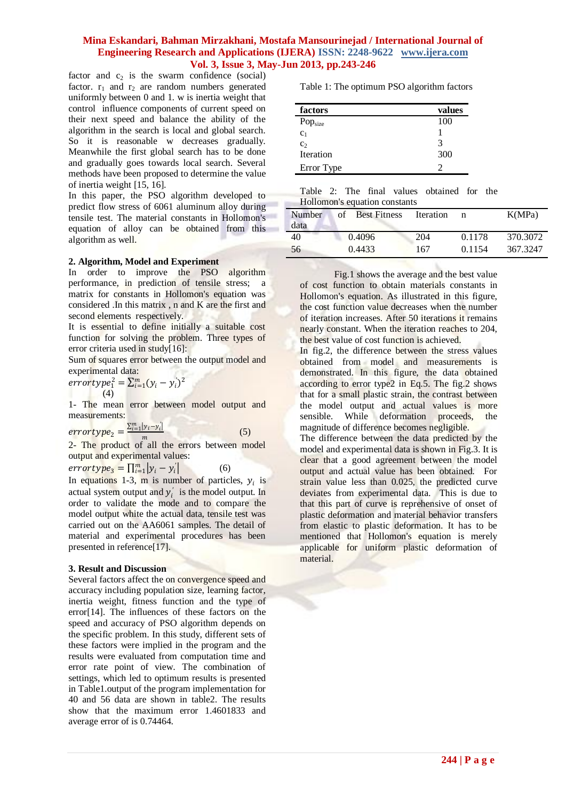# **Mina Eskandari, Bahman Mirzakhani, Mostafa Mansourinejad / International Journal of Engineering Research and Applications (IJERA) ISSN: 2248-9622 www.ijera.com Vol. 3, Issue 3, May-Jun 2013, pp.243-246**

factor and  $c_2$  is the swarm confidence (social) factor.  $r_1$  and  $r_2$  are random numbers generated uniformly between 0 and 1. w is inertia weight that control influence components of current speed on their next speed and balance the ability of the algorithm in the search is local and global search. So it is reasonable w decreases gradually. Meanwhile the first global search has to be done and gradually goes towards local search. Several methods have been proposed to determine the value of inertia weight [15, 16].

In this paper, the PSO algorithm developed to predict flow stress of 6061 aluminum alloy during tensile test. The material constants in Hollomon's equation of alloy can be obtained from this algorithm as well.

#### **2. Algorithm, Model and Experiment**

In order to improve the PSO algorithm performance, in prediction of tensile stress; a matrix for constants in Hollomon's equation was considered .In this matrix , n and K are the first and second elements respectively.

It is essential to define initially a suitable cost function for solving the problem. Three types of error criteria used in study[16]:

Sum of squares error between the output model and experimental data:

 $\frac{1}{2}$   $\sum_{i=1}^{m} (y_i - y'_i)^2$ (4)

1- The mean error between model output and measurements:

 $\frac{\sum_{i=1}^{m}|y_i-y'_i|}{m}$  $\frac{|y_i - y_i|}{m}$  (5)

2- The product of all the errors between model output and experimental values:

 $\textit{errortype}_3 = \prod_{i=1}^m |y_i - y_i'|$ (6)

In equations 1-3, m is number of particles,  $y_i$  is actual system output and  $y'_i$  is the model output. In order to validate the mode and to compare the model output white the actual data, tensile test was carried out on the AA6061 samples. The detail of material and experimental procedures has been presented in reference[17].

#### **3. Result and Discussion**

Several factors affect the on convergence speed and accuracy including population size, learning factor, inertia weight, fitness function and the type of error[14]. The influences of these factors on the speed and accuracy of PSO algorithm depends on the specific problem. In this study, different sets of these factors were implied in the program and the results were evaluated from computation time and error rate point of view. The combination of settings, which led to optimum results is presented in Table1.output of the program implementation for 40 and 56 data are shown in table2. The results show that the maximum error 1.4601833 and average error of is 0.74464.

Table 1: The optimum PSO algorithm factors

| factors             | values |
|---------------------|--------|
| Pop <sub>size</sub> | 100    |
| c <sub>1</sub>      |        |
| c <sub>2</sub>      | 3      |
| Iteration           | 300    |
| Error Type          | 2      |

Table 2: The final values obtained for the Hollomon's equation constants

| Number<br>data | <b>Best Fitness</b><br>of | Iteration |        | K(MPa)   |
|----------------|---------------------------|-----------|--------|----------|
| 40             | 0.4096                    | 204       | 0.1178 | 370.3072 |
| 56             | 0.4433                    | 167       | 0.1154 | 367.3247 |

Fig.1 shows the average and the best value of cost function to obtain materials constants in Hollomon's equation. As illustrated in this figure, the cost function value decreases when the number of iteration increases. After 50 iterations it remains nearly constant. When the iteration reaches to 204, the best value of cost function is achieved.

In fig.2, the difference between the stress values obtained from model and measurements is demonstrated. In this figure, the data obtained according to error type2 in Eq.5. The fig.2 shows that for a small plastic strain, the contrast between the model output and actual values is more sensible. While deformation proceeds, the magnitude of difference becomes negligible.

The difference between the data predicted by the model and experimental data is shown in Fig.3. It is clear that a good agreement between the model output and actual value has been obtained. For strain value less than 0.025, the predicted curve deviates from experimental data. This is due to that this part of curve is reprehensive of onset of plastic deformation and material behavior transfers from elastic to plastic deformation. It has to be mentioned that Hollomon's equation is merely applicable for uniform plastic deformation of material.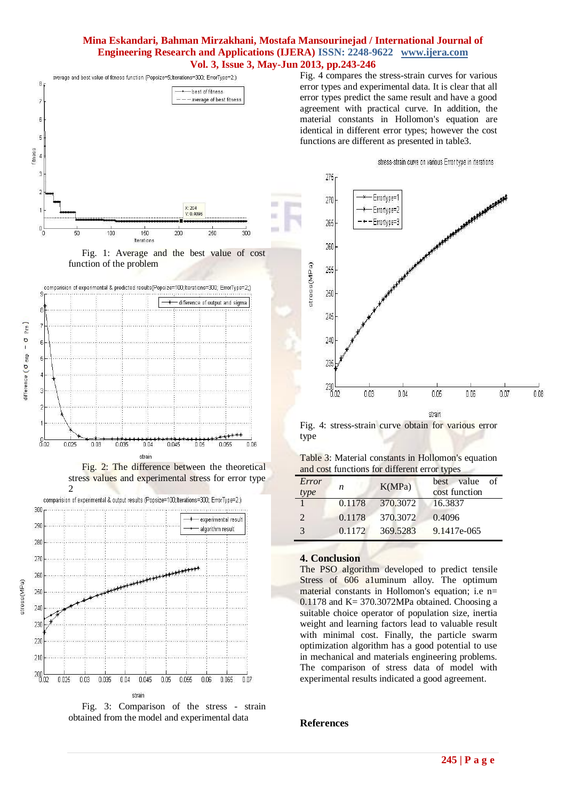# **Mina Eskandari, Bahman Mirzakhani, Mostafa Mansourinejad / International Journal of Engineering Research and Applications (IJERA) ISSN: 2248-9622 www.ijera.com Vol. 3, Issue 3, May-Jun 2013, pp.243-246**

÷

u



Fig. 4 compares the stress-strain curves for various error types and experimental data. It is clear that all error types predict the same result and have a good agreement with practical curve. In addition, the material constants in Hollomon's equation are identical in different error types; however the cost functions are different as presented in table3.





Fig. 2: The difference between the theoretical stress values and experimental stress for error type  $\mathcal{D}$ 



Fig. 3: Comparison of the stress - strain obtained from the model and experimental data



Fig. 4: stress-strain curve obtain for various error type

| Table 3: Material constants in Hollomon's equation |  |  |  |
|----------------------------------------------------|--|--|--|
| and cost functions for different error types       |  |  |  |

| Error<br>type         | n      | K(MPa)   | value<br>of<br>best<br>cost function |
|-----------------------|--------|----------|--------------------------------------|
|                       | 0.1178 | 370.3072 | 16.3837                              |
| $\mathcal{D}_{\cdot}$ | 0.1178 | 370,3072 | 0.4096                               |
| $\mathcal{R}$         | 0.1172 | 369,5283 | 9.1417e-065                          |

## **4. Conclusion**

The PSO algorithm developed to predict tensile Stress of 606 a1uminum alloy. The optimum material constants in Hollomon's equation; i.e n=  $0.1178$  and K = 370.3072MPa obtained. Choosing a suitable choice operator of population size, inertia weight and learning factors lead to valuable result with minimal cost. Finally, the particle swarm optimization algorithm has a good potential to use in mechanical and materials engineering problems. The comparison of stress data of model with experimental results indicated a good agreement.

# **References**